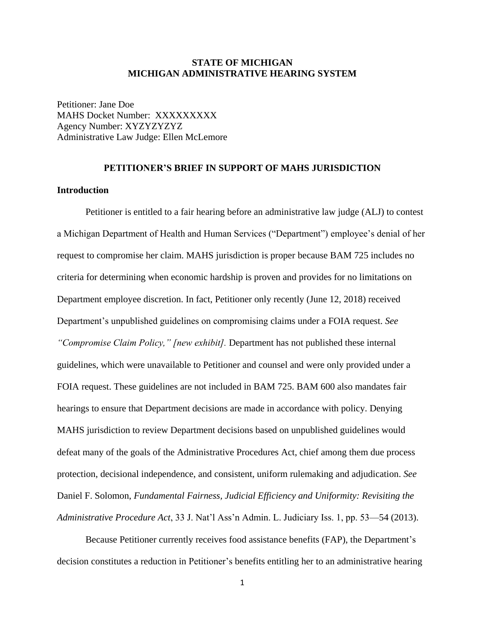#### **STATE OF MICHIGAN MICHIGAN ADMINISTRATIVE HEARING SYSTEM**

Petitioner: Jane Doe MAHS Docket Number: XXXXXXXXX Agency Number: XYZYZYZYZ Administrative Law Judge: Ellen McLemore

## **PETITIONER'S BRIEF IN SUPPORT OF MAHS JURISDICTION**

#### **Introduction**

Petitioner is entitled to a fair hearing before an administrative law judge (ALJ) to contest a Michigan Department of Health and Human Services ("Department") employee's denial of her request to compromise her claim. MAHS jurisdiction is proper because BAM 725 includes no criteria for determining when economic hardship is proven and provides for no limitations on Department employee discretion. In fact, Petitioner only recently (June 12, 2018) received Department's unpublished guidelines on compromising claims under a FOIA request. *See "Compromise Claim Policy," [new exhibit].* Department has not published these internal guidelines, which were unavailable to Petitioner and counsel and were only provided under a FOIA request. These guidelines are not included in BAM 725. BAM 600 also mandates fair hearings to ensure that Department decisions are made in accordance with policy. Denying MAHS jurisdiction to review Department decisions based on unpublished guidelines would defeat many of the goals of the Administrative Procedures Act, chief among them due process protection, decisional independence, and consistent, uniform rulemaking and adjudication. *See* Daniel F. Solomon, *Fundamental Fairness, Judicial Efficiency and Uniformity: Revisiting the Administrative Procedure Act*, 33 J. Nat'l Ass'n Admin. L. Judiciary Iss. 1, pp. 53—54 (2013).

Because Petitioner currently receives food assistance benefits (FAP), the Department's decision constitutes a reduction in Petitioner's benefits entitling her to an administrative hearing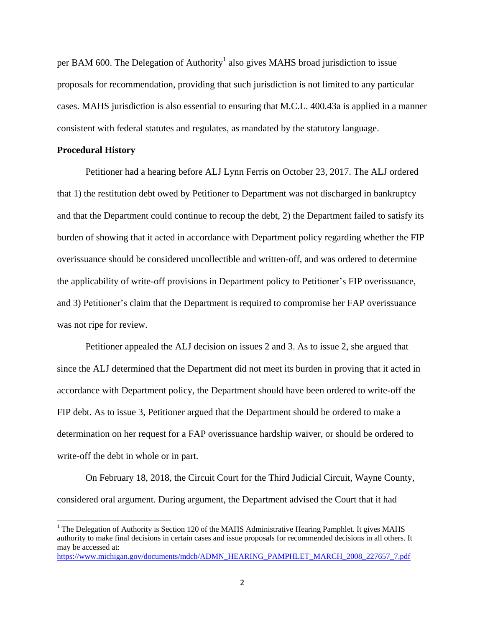per BAM 600. The Delegation of Authority<sup>1</sup> also gives MAHS broad jurisdiction to issue proposals for recommendation, providing that such jurisdiction is not limited to any particular cases. MAHS jurisdiction is also essential to ensuring that M.C.L. 400.43a is applied in a manner consistent with federal statutes and regulates, as mandated by the statutory language.

#### **Procedural History**

 $\overline{a}$ 

Petitioner had a hearing before ALJ Lynn Ferris on October 23, 2017. The ALJ ordered that 1) the restitution debt owed by Petitioner to Department was not discharged in bankruptcy and that the Department could continue to recoup the debt, 2) the Department failed to satisfy its burden of showing that it acted in accordance with Department policy regarding whether the FIP overissuance should be considered uncollectible and written-off, and was ordered to determine the applicability of write-off provisions in Department policy to Petitioner's FIP overissuance, and 3) Petitioner's claim that the Department is required to compromise her FAP overissuance was not ripe for review.

Petitioner appealed the ALJ decision on issues 2 and 3. As to issue 2, she argued that since the ALJ determined that the Department did not meet its burden in proving that it acted in accordance with Department policy, the Department should have been ordered to write-off the FIP debt. As to issue 3, Petitioner argued that the Department should be ordered to make a determination on her request for a FAP overissuance hardship waiver, or should be ordered to write-off the debt in whole or in part.

On February 18, 2018, the Circuit Court for the Third Judicial Circuit, Wayne County, considered oral argument. During argument, the Department advised the Court that it had

<sup>&</sup>lt;sup>1</sup> The Delegation of Authority is Section 120 of the MAHS Administrative Hearing Pamphlet. It gives MAHS authority to make final decisions in certain cases and issue proposals for recommended decisions in all others. It may be accessed at:

[https://www.michigan.gov/documents/mdch/ADMN\\_HEARING\\_PAMPHLET\\_MARCH\\_2008\\_227657\\_7.pdf](https://www.michigan.gov/documents/mdch/ADMN_HEARING_PAMPHLET_MARCH_2008_227657_7.pdf)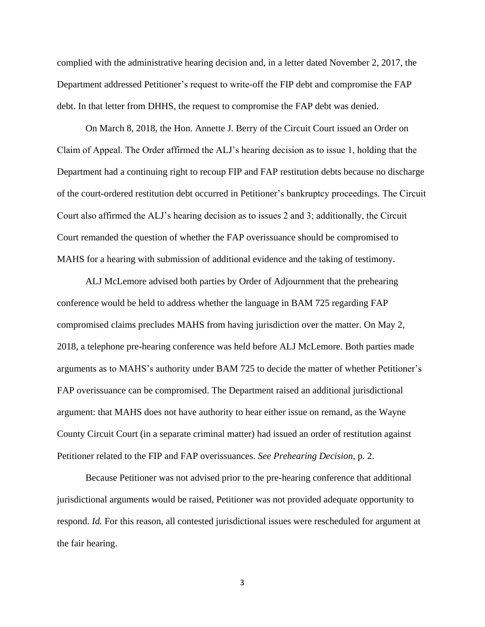complied with the administrative hearing decision and, in a letter dated November 2, 2017, the Department addressed Petitioner's request to write-off the FIP debt and compromise the FAP debt. In that letter from DHHS, the request to compromise the FAP debt was denied.

On March 8, 2018, the Hon. Annette J. Berry of the Circuit Court issued an Order on Claim of Appeal. The Order affirmed the ALJ's hearing decision as to issue 1, holding that the Department had a continuing right to recoup FIP and FAP restitution debts because no discharge of the court-ordered restitution debt occurred in Petitioner's bankruptcy proceedings. The Circuit Court also affirmed the ALJ's hearing decision as to issues 2 and 3; additionally, the Circuit Court remanded the question of whether the FAP overissuance should be compromised to MAHS for a hearing with submission of additional evidence and the taking of testimony.

ALJ McLemore advised both parties by Order of Adjournment that the prehearing conference would be held to address whether the language in BAM 725 regarding FAP compromised claims precludes MAHS from having jurisdiction over the matter. On May 2, 2018, a telephone pre-hearing conference was held before ALJ McLemore. Both parties made arguments as to MAHS's authority under BAM 725 to decide the matter of whether Petitioner's FAP overissuance can be compromised. The Department raised an additional jurisdictional argument: that MAHS does not have authority to hear either issue on remand, as the Wayne County Circuit Court (in a separate criminal matter) had issued an order of restitution against Petitioner related to the FIP and FAP overissuances. *See Prehearing Decision*, p. 2.

Because Petitioner was not advised prior to the pre-hearing conference that additional jurisdictional arguments would be raised, Petitioner was not provided adequate opportunity to respond. *Id.* For this reason, all contested jurisdictional issues were rescheduled for argument at the fair hearing.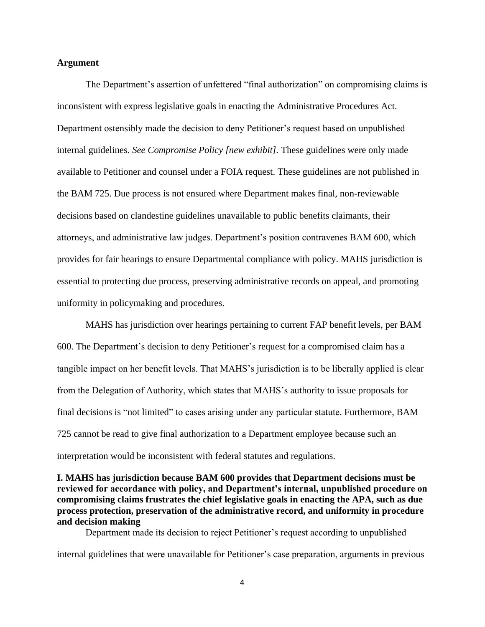#### **Argument**

The Department's assertion of unfettered "final authorization" on compromising claims is inconsistent with express legislative goals in enacting the Administrative Procedures Act. Department ostensibly made the decision to deny Petitioner's request based on unpublished internal guidelines. *See Compromise Policy [new exhibit].* These guidelines were only made available to Petitioner and counsel under a FOIA request. These guidelines are not published in the BAM 725. Due process is not ensured where Department makes final, non-reviewable decisions based on clandestine guidelines unavailable to public benefits claimants, their attorneys, and administrative law judges. Department's position contravenes BAM 600, which provides for fair hearings to ensure Departmental compliance with policy. MAHS jurisdiction is essential to protecting due process, preserving administrative records on appeal, and promoting uniformity in policymaking and procedures.

MAHS has jurisdiction over hearings pertaining to current FAP benefit levels, per BAM 600. The Department's decision to deny Petitioner's request for a compromised claim has a tangible impact on her benefit levels. That MAHS's jurisdiction is to be liberally applied is clear from the Delegation of Authority, which states that MAHS's authority to issue proposals for final decisions is "not limited" to cases arising under any particular statute. Furthermore, BAM 725 cannot be read to give final authorization to a Department employee because such an interpretation would be inconsistent with federal statutes and regulations.

## **I. MAHS has jurisdiction because BAM 600 provides that Department decisions must be reviewed for accordance with policy, and Department's internal, unpublished procedure on compromising claims frustrates the chief legislative goals in enacting the APA, such as due process protection, preservation of the administrative record, and uniformity in procedure and decision making**

Department made its decision to reject Petitioner's request according to unpublished

internal guidelines that were unavailable for Petitioner's case preparation, arguments in previous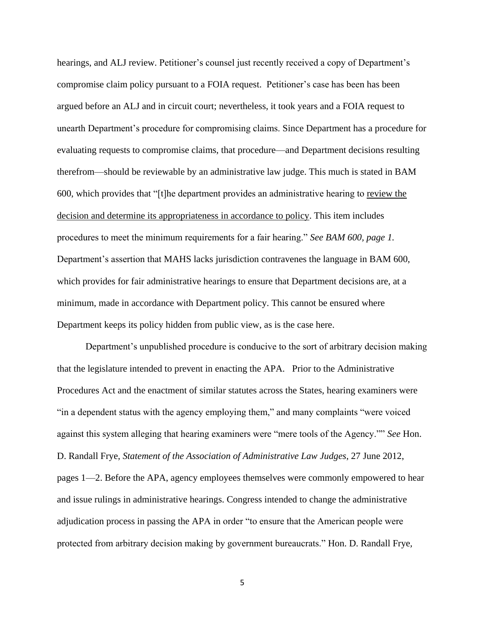hearings, and ALJ review. Petitioner's counsel just recently received a copy of Department's compromise claim policy pursuant to a FOIA request. Petitioner's case has been has been argued before an ALJ and in circuit court; nevertheless, it took years and a FOIA request to unearth Department's procedure for compromising claims. Since Department has a procedure for evaluating requests to compromise claims, that procedure—and Department decisions resulting therefrom—should be reviewable by an administrative law judge. This much is stated in BAM 600, which provides that "[t]he department provides an administrative hearing to review the decision and determine its appropriateness in accordance to policy. This item includes procedures to meet the minimum requirements for a fair hearing." *See BAM 600, page 1.* Department's assertion that MAHS lacks jurisdiction contravenes the language in BAM 600, which provides for fair administrative hearings to ensure that Department decisions are, at a minimum, made in accordance with Department policy. This cannot be ensured where Department keeps its policy hidden from public view, as is the case here.

Department's unpublished procedure is conducive to the sort of arbitrary decision making that the legislature intended to prevent in enacting the APA. Prior to the Administrative Procedures Act and the enactment of similar statutes across the States, hearing examiners were "in a dependent status with the agency employing them," and many complaints "were voiced against this system alleging that hearing examiners were "mere tools of the Agency."" *See* Hon. D. Randall Frye, *Statement of the Association of Administrative Law Judges*, 27 June 2012, pages 1—2. Before the APA, agency employees themselves were commonly empowered to hear and issue rulings in administrative hearings. Congress intended to change the administrative adjudication process in passing the APA in order "to ensure that the American people were protected from arbitrary decision making by government bureaucrats." Hon. D. Randall Frye*,*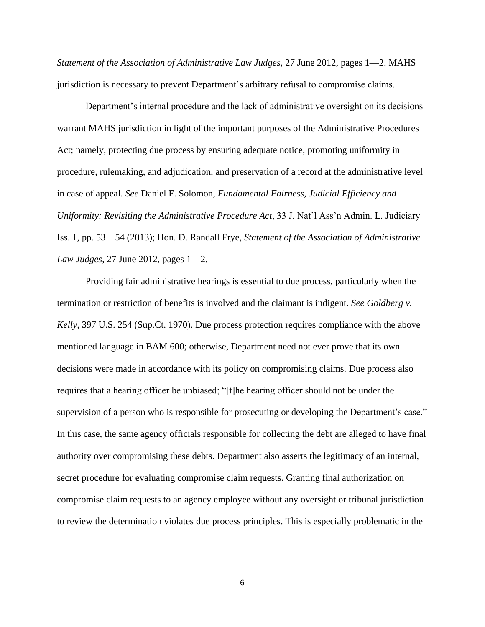*Statement of the Association of Administrative Law Judges,* 27 June 2012, pages 1—2. MAHS jurisdiction is necessary to prevent Department's arbitrary refusal to compromise claims.

Department's internal procedure and the lack of administrative oversight on its decisions warrant MAHS jurisdiction in light of the important purposes of the Administrative Procedures Act; namely, protecting due process by ensuring adequate notice, promoting uniformity in procedure, rulemaking, and adjudication, and preservation of a record at the administrative level in case of appeal. *See* Daniel F. Solomon, *Fundamental Fairness, Judicial Efficiency and Uniformity: Revisiting the Administrative Procedure Act*, 33 J. Nat'l Ass'n Admin. L. Judiciary Iss. 1, pp. 53—54 (2013); Hon. D. Randall Frye, *Statement of the Association of Administrative Law Judges*, 27 June 2012, pages 1—2.

Providing fair administrative hearings is essential to due process, particularly when the termination or restriction of benefits is involved and the claimant is indigent. *See Goldberg v. Kelly,* 397 U.S. 254 (Sup.Ct. 1970). Due process protection requires compliance with the above mentioned language in BAM 600; otherwise, Department need not ever prove that its own decisions were made in accordance with its policy on compromising claims. Due process also requires that a hearing officer be unbiased; "[t]he hearing officer should not be under the supervision of a person who is responsible for prosecuting or developing the Department's case." In this case, the same agency officials responsible for collecting the debt are alleged to have final authority over compromising these debts. Department also asserts the legitimacy of an internal, secret procedure for evaluating compromise claim requests. Granting final authorization on compromise claim requests to an agency employee without any oversight or tribunal jurisdiction to review the determination violates due process principles. This is especially problematic in the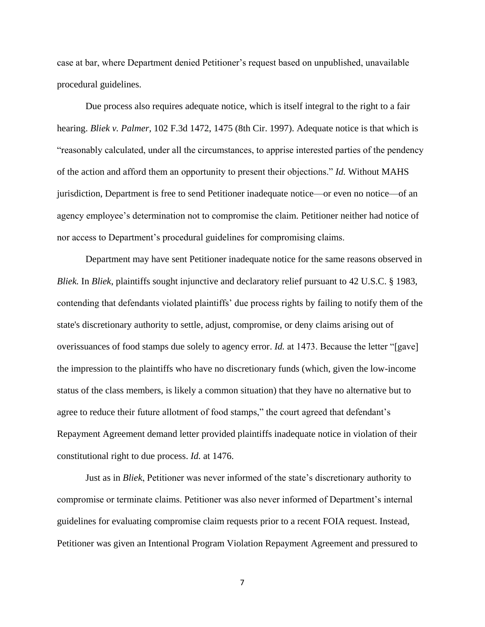case at bar, where Department denied Petitioner's request based on unpublished, unavailable procedural guidelines.

Due process also requires adequate notice, which is itself integral to the right to a fair hearing. *Bliek v. Palmer,* 102 F.3d 1472, 1475 (8th Cir. 1997). Adequate notice is that which is "reasonably calculated, under all the circumstances, to apprise interested parties of the pendency of the action and afford them an opportunity to present their objections." *Id.* Without MAHS jurisdiction, Department is free to send Petitioner inadequate notice—or even no notice—of an agency employee's determination not to compromise the claim*.* Petitioner neither had notice of nor access to Department's procedural guidelines for compromising claims.

Department may have sent Petitioner inadequate notice for the same reasons observed in *Bliek.* In *Bliek*, plaintiffs sought injunctive and declaratory relief pursuant to 42 U.S.C. § 1983, contending that defendants violated plaintiffs' due process rights by failing to notify them of the state's discretionary authority to settle, adjust, compromise, or deny claims arising out of overissuances of food stamps due solely to agency error. *Id.* at 1473. Because the letter "[gave] the impression to the plaintiffs who have no discretionary funds (which, given the low-income status of the class members, is likely a common situation) that they have no alternative but to agree to reduce their future allotment of food stamps," the court agreed that defendant's Repayment Agreement demand letter provided plaintiffs inadequate notice in violation of their constitutional right to due process. *Id.* at 1476.

Just as in *Bliek*, Petitioner was never informed of the state's discretionary authority to compromise or terminate claims. Petitioner was also never informed of Department's internal guidelines for evaluating compromise claim requests prior to a recent FOIA request. Instead, Petitioner was given an Intentional Program Violation Repayment Agreement and pressured to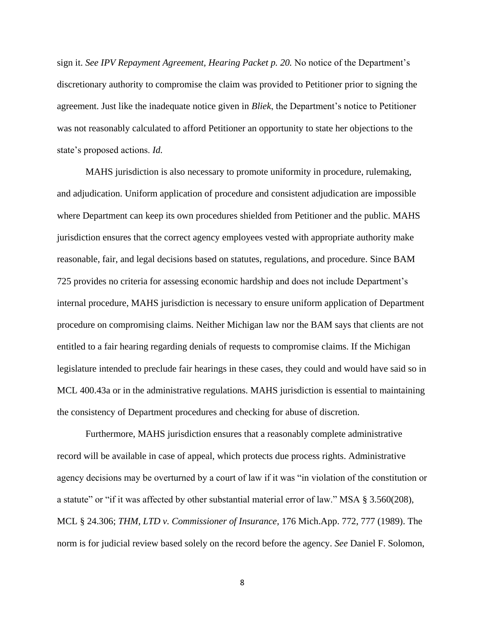sign it. *See IPV Repayment Agreement, Hearing Packet p. 20.* No notice of the Department's discretionary authority to compromise the claim was provided to Petitioner prior to signing the agreement. Just like the inadequate notice given in *Bliek*, the Department's notice to Petitioner was not reasonably calculated to afford Petitioner an opportunity to state her objections to the state's proposed actions. *Id.*

MAHS jurisdiction is also necessary to promote uniformity in procedure, rulemaking, and adjudication. Uniform application of procedure and consistent adjudication are impossible where Department can keep its own procedures shielded from Petitioner and the public. MAHS jurisdiction ensures that the correct agency employees vested with appropriate authority make reasonable, fair, and legal decisions based on statutes, regulations, and procedure. Since BAM 725 provides no criteria for assessing economic hardship and does not include Department's internal procedure, MAHS jurisdiction is necessary to ensure uniform application of Department procedure on compromising claims. Neither Michigan law nor the BAM says that clients are not entitled to a fair hearing regarding denials of requests to compromise claims. If the Michigan legislature intended to preclude fair hearings in these cases, they could and would have said so in MCL 400.43a or in the administrative regulations. MAHS jurisdiction is essential to maintaining the consistency of Department procedures and checking for abuse of discretion.

Furthermore, MAHS jurisdiction ensures that a reasonably complete administrative record will be available in case of appeal, which protects due process rights. Administrative agency decisions may be overturned by a court of law if it was "in violation of the constitution or a statute" or "if it was affected by other substantial material error of law." MSA § 3.560(208), MCL § 24.306; *THM, LTD v. Commissioner of Insurance,* 176 Mich.App. 772, 777 (1989). The norm is for judicial review based solely on the record before the agency. *See* Daniel F. Solomon,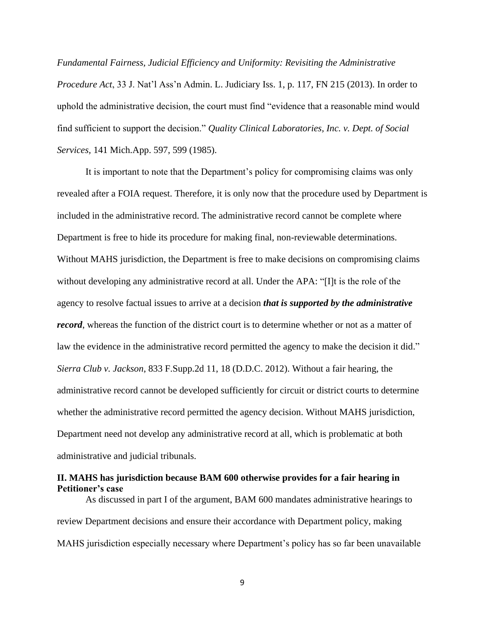*Fundamental Fairness, Judicial Efficiency and Uniformity: Revisiting the Administrative Procedure Act*, 33 J. Nat'l Ass'n Admin. L. Judiciary Iss. 1, p. 117, FN 215 (2013). In order to uphold the administrative decision, the court must find "evidence that a reasonable mind would find sufficient to support the decision." *Quality Clinical Laboratories, Inc. v. Dept. of Social Services,* 141 Mich.App. 597, 599 (1985).

It is important to note that the Department's policy for compromising claims was only revealed after a FOIA request. Therefore, it is only now that the procedure used by Department is included in the administrative record. The administrative record cannot be complete where Department is free to hide its procedure for making final, non-reviewable determinations. Without MAHS jurisdiction, the Department is free to make decisions on compromising claims without developing any administrative record at all. Under the APA: "[I]t is the role of the agency to resolve factual issues to arrive at a decision *that is supported by the administrative record*, whereas the function of the district court is to determine whether or not as a matter of law the evidence in the administrative record permitted the agency to make the decision it did." *Sierra Club v. Jackson*, 833 F.Supp.2d 11, 18 (D.D.C. 2012). Without a fair hearing, the administrative record cannot be developed sufficiently for circuit or district courts to determine whether the administrative record permitted the agency decision. Without MAHS jurisdiction, Department need not develop any administrative record at all, which is problematic at both administrative and judicial tribunals.

## **II. MAHS has jurisdiction because BAM 600 otherwise provides for a fair hearing in Petitioner's case**

As discussed in part I of the argument, BAM 600 mandates administrative hearings to review Department decisions and ensure their accordance with Department policy, making MAHS jurisdiction especially necessary where Department's policy has so far been unavailable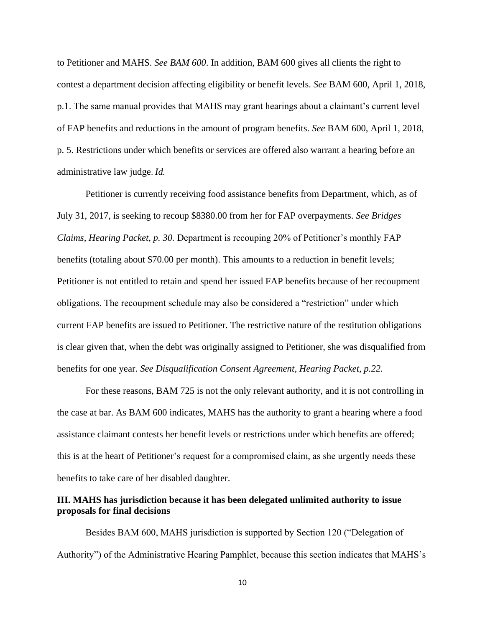to Petitioner and MAHS. *See BAM 600*. In addition, BAM 600 gives all clients the right to contest a department decision affecting eligibility or benefit levels. *See* BAM 600, April 1, 2018, p.1. The same manual provides that MAHS may grant hearings about a claimant's current level of FAP benefits and reductions in the amount of program benefits. *See* BAM 600, April 1, 2018, p. 5. Restrictions under which benefits or services are offered also warrant a hearing before an administrative law judge. *Id.* 

Petitioner is currently receiving food assistance benefits from Department, which, as of July 31, 2017, is seeking to recoup \$8380.00 from her for FAP overpayments. *See Bridges Claims, Hearing Packet, p. 30.* Department is recouping 20% of Petitioner's monthly FAP benefits (totaling about \$70.00 per month). This amounts to a reduction in benefit levels; Petitioner is not entitled to retain and spend her issued FAP benefits because of her recoupment obligations. The recoupment schedule may also be considered a "restriction" under which current FAP benefits are issued to Petitioner. The restrictive nature of the restitution obligations is clear given that, when the debt was originally assigned to Petitioner, she was disqualified from benefits for one year. *See Disqualification Consent Agreement, Hearing Packet, p.22.*

For these reasons, BAM 725 is not the only relevant authority, and it is not controlling in the case at bar. As BAM 600 indicates, MAHS has the authority to grant a hearing where a food assistance claimant contests her benefit levels or restrictions under which benefits are offered; this is at the heart of Petitioner's request for a compromised claim, as she urgently needs these benefits to take care of her disabled daughter.

## **III. MAHS has jurisdiction because it has been delegated unlimited authority to issue proposals for final decisions**

Besides BAM 600, MAHS jurisdiction is supported by Section 120 ("Delegation of Authority") of the Administrative Hearing Pamphlet, because this section indicates that MAHS's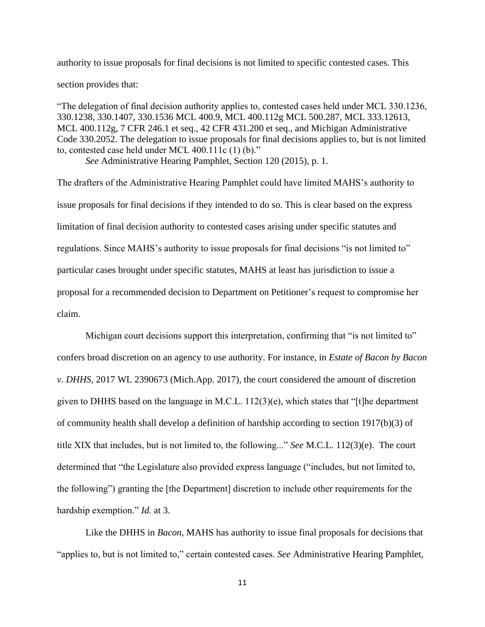authority to issue proposals for final decisions is not limited to specific contested cases. This section provides that:

"The delegation of final decision authority applies to, contested cases held under MCL 330.1236, 330.1238, 330.1407, 330.1536 MCL 400.9, MCL 400.112g MCL 500.287, MCL 333.12613, MCL 400.112g, 7 CFR 246.1 et seq., 42 CFR 431.200 et seq., and Michigan Administrative Code 330.2052. The delegation to issue proposals for final decisions applies to, but is not limited to, contested case held under MCL 400.111c (1) (b)."

*See* Administrative Hearing Pamphlet, Section 120 (2015), p. 1.

The drafters of the Administrative Hearing Pamphlet could have limited MAHS's authority to issue proposals for final decisions if they intended to do so. This is clear based on the express limitation of final decision authority to contested cases arising under specific statutes and regulations. Since MAHS's authority to issue proposals for final decisions "is not limited to" particular cases brought under specific statutes, MAHS at least has jurisdiction to issue a proposal for a recommended decision to Department on Petitioner's request to compromise her claim.

Michigan court decisions support this interpretation, confirming that "is not limited to" confers broad discretion on an agency to use authority. For instance, in *Estate of Bacon by Bacon v. DHHS*, 2017 WL 2390673 (Mich.App. 2017), the court considered the amount of discretion given to DHHS based on the language in M.C.L. 112(3)(e), which states that "[t]he department of community health shall develop a definition of hardship according to section 1917(b)(3) of title XIX that includes, but is not limited to, the following..." *See* M.C.L. 112(3)(e). The court determined that "the Legislature also provided express language ("includes, but not limited to, the following") granting the [the Department] discretion to include other requirements for the hardship exemption." *Id.* at 3.

Like the DHHS in *Bacon*, MAHS has authority to issue final proposals for decisions that "applies to, but is not limited to," certain contested cases. *See* Administrative Hearing Pamphlet,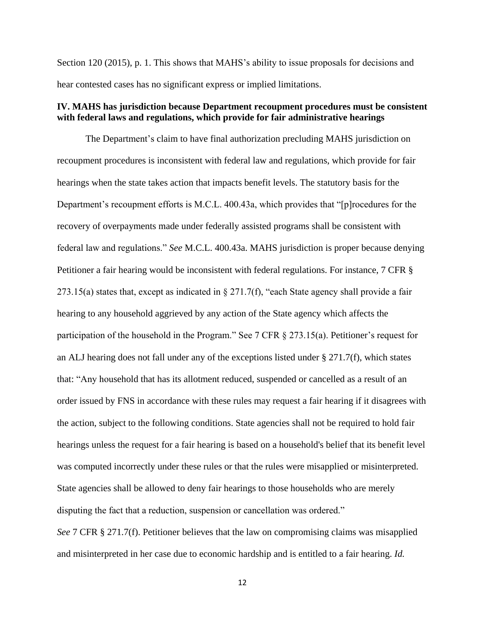Section 120 (2015), p. 1. This shows that MAHS's ability to issue proposals for decisions and hear contested cases has no significant express or implied limitations.

#### **IV. MAHS has jurisdiction because Department recoupment procedures must be consistent with federal laws and regulations, which provide for fair administrative hearings**

The Department's claim to have final authorization precluding MAHS jurisdiction on recoupment procedures is inconsistent with federal law and regulations, which provide for fair hearings when the state takes action that impacts benefit levels. The statutory basis for the Department's recoupment efforts is M.C.L. 400.43a, which provides that "[p]rocedures for the recovery of overpayments made under federally assisted programs shall be consistent with federal law and regulations." *See* M.C.L. 400.43a. MAHS jurisdiction is proper because denying Petitioner a fair hearing would be inconsistent with federal regulations. For instance, 7 CFR § 273.15(a) states that, except as indicated in § 271.7(f), "each State agency shall provide a fair hearing to any household aggrieved by any action of the State agency which affects the participation of the household in the Program." See 7 CFR § 273.15(a). Petitioner's request for an ALJ hearing does not fall under any of the exceptions listed under  $\S 271.7(f)$ , which states that: "Any household that has its allotment reduced, suspended or cancelled as a result of an order issued by FNS in accordance with these rules may request a fair hearing if it disagrees with the action, subject to the following conditions. State agencies shall not be required to hold fair hearings unless the request for a fair hearing is based on a household's belief that its benefit level was computed incorrectly under these rules or that the rules were misapplied or misinterpreted. State agencies shall be allowed to deny fair hearings to those households who are merely disputing the fact that a reduction, suspension or cancellation was ordered."

*See* 7 CFR § 271.7(f). Petitioner believes that the law on compromising claims was misapplied and misinterpreted in her case due to economic hardship and is entitled to a fair hearing. *Id.*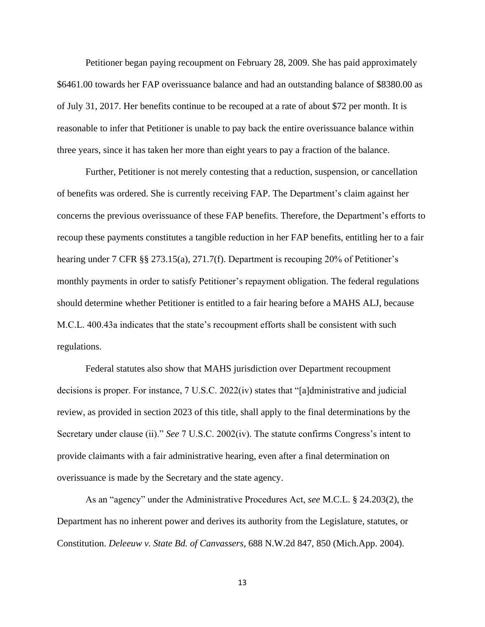Petitioner began paying recoupment on February 28, 2009. She has paid approximately \$6461.00 towards her FAP overissuance balance and had an outstanding balance of \$8380.00 as of July 31, 2017. Her benefits continue to be recouped at a rate of about \$72 per month. It is reasonable to infer that Petitioner is unable to pay back the entire overissuance balance within three years, since it has taken her more than eight years to pay a fraction of the balance.

Further, Petitioner is not merely contesting that a reduction, suspension, or cancellation of benefits was ordered. She is currently receiving FAP. The Department's claim against her concerns the previous overissuance of these FAP benefits. Therefore, the Department's efforts to recoup these payments constitutes a tangible reduction in her FAP benefits, entitling her to a fair hearing under 7 CFR §§ 273.15(a), 271.7(f). Department is recouping 20% of Petitioner's monthly payments in order to satisfy Petitioner's repayment obligation. The federal regulations should determine whether Petitioner is entitled to a fair hearing before a MAHS ALJ, because M.C.L. 400.43a indicates that the state's recoupment efforts shall be consistent with such regulations.

Federal statutes also show that MAHS jurisdiction over Department recoupment decisions is proper. For instance, 7 U.S.C. 2022(iv) states that "[a]dministrative and judicial review, as provided in section 2023 of this title, shall apply to the final determinations by the Secretary under clause (ii)." *See* 7 U.S.C. 2002(iv). The statute confirms Congress's intent to provide claimants with a fair administrative hearing, even after a final determination on overissuance is made by the Secretary and the state agency.

As an "agency" under the Administrative Procedures Act, *see* M.C.L. § 24.203(2), the Department has no inherent power and derives its authority from the Legislature, statutes, or Constitution. *Deleeuw v. State Bd. of Canvassers*, 688 N.W.2d 847, 850 (Mich.App. 2004).